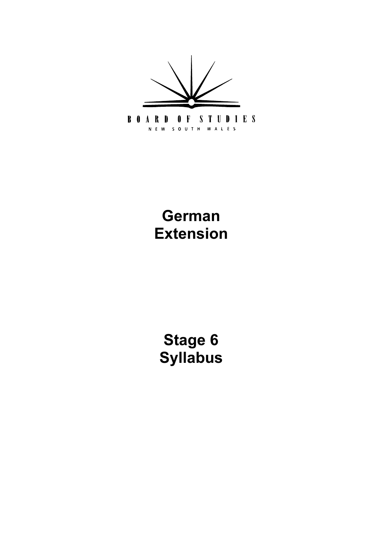

# **German Extension**

**[Stage 6](#page-5-0) Syllabus**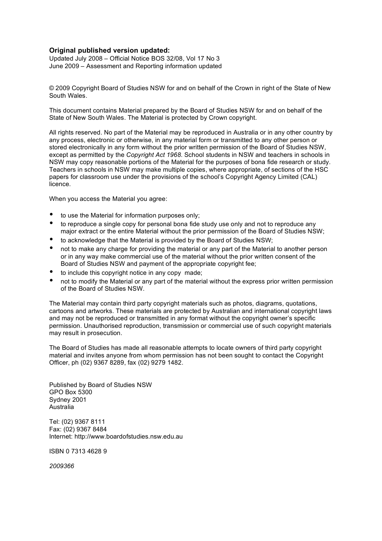#### **Original published version updated:**

 Updated July 2008 – Official Notice BOS 32/08, Vol 17 No 3 June 2009 – Assessment and Reporting information updated

 © 2009 Copyright Board of Studies NSW for and on behalf of the Crown in right of the State of New South Wales.

 This document contains Material prepared by the Board of Studies NSW for and on behalf of the State of New South Wales. The Material is protected by Crown copyright.

 All rights reserved. No part of the Material may be reproduced in Australia or in any other country by any process, electronic or otherwise, in any material form or transmitted to any other person or stored electronically in any form without the prior written permission of the Board of Studies NSW, except as permitted by the *Copyright Act 1968*. School students in NSW and teachers in schools in NSW may copy reasonable portions of the Material for the purposes of bona fide research or study. Teachers in schools in NSW may make multiple copies, where appropriate, of sections of the HSC papers for classroom use under the provisions of the school's Copyright Agency Limited (CAL) licence.

When you access the Material you agree:

- • to use the Material for information purposes only;
- to reproduce a single copy for personal bona fide study use only and not to reproduce any major extract or the entire Material without the prior permission of the Board of Studies NSW;
- • to acknowledge that the Material is provided by the Board of Studies NSW;
- not to make any charge for providing the material or any part of the Material to another person or in any way make commercial use of the material without the prior written consent of the Board of Studies NSW and payment of the appropriate copyright fee;
- • to include this copyright notice in any copy made;
- not to modify the Material or any part of the material without the express prior written permission of the Board of Studies NSW.

 The Material may contain third party copyright materials such as photos, diagrams, quotations, cartoons and artworks. These materials are protected by Australian and international copyright laws and may not be reproduced or transmitted in any format without the copyright owner's specific permission. Unauthorised reproduction, transmission or commercial use of such copyright materials may result in prosecution.

 The Board of Studies has made all reasonable attempts to locate owners of third party copyright material and invites anyone from whom permission has not been sought to contact the Copyright Officer, ph (02) 9367 8289, fax (02) 9279 1482.

 Published by Board of Studies NSW GPO Box 5300 Sydney 2001 Australia

 Tel: (02) 9367 8111 Fax: (02) 9367 8484 Internet: http://www.boardofstudies.nsw.edu.au

ISBN 0 7313 4628 9

*2009366*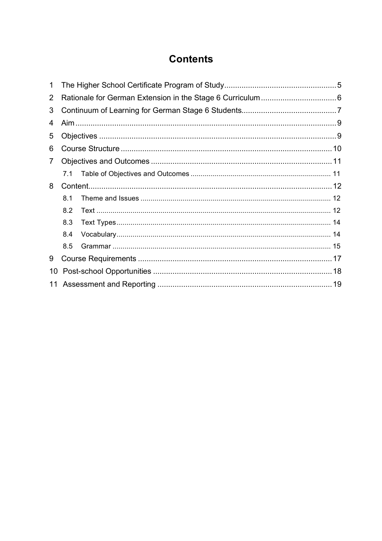# **Contents**

| 1  |     |  |  |  |
|----|-----|--|--|--|
| 2  |     |  |  |  |
| 3  |     |  |  |  |
| 4  |     |  |  |  |
| 5  |     |  |  |  |
| 6  |     |  |  |  |
| 7  |     |  |  |  |
|    | 7.1 |  |  |  |
| 8  |     |  |  |  |
|    | 8.1 |  |  |  |
|    | 8.2 |  |  |  |
|    | 8.3 |  |  |  |
|    | 8.4 |  |  |  |
|    | 8.5 |  |  |  |
| 9  |     |  |  |  |
| 10 |     |  |  |  |
| 11 |     |  |  |  |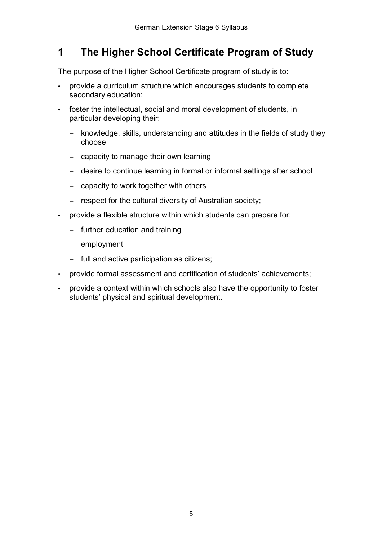#### <span id="page-4-0"></span> **The Higher School Certificate Program of Study 1**

The purpose of the Higher School Certificate program of study is to:

- provide a curriculum structure which encourages students to complete secondary education;
- • foster the intellectual, social and moral development of students, in particular developing their:
	- − knowledge, skills, understanding and attitudes in the fields of study they choose
	- − capacity to manage their own learning
	- − desire to continue learning in formal or informal settings after school
	- − capacity to work together with others
	- − respect for the cultural diversity of Australian society;
- provide a flexible structure within which students can prepare for:
	- − further education and training
	- − employment
	- − full and active participation as citizens;
- • provide formal assessment and certification of students' achievements;
- provide a context within which schools also have the opportunity to foster students' physical and spiritual development.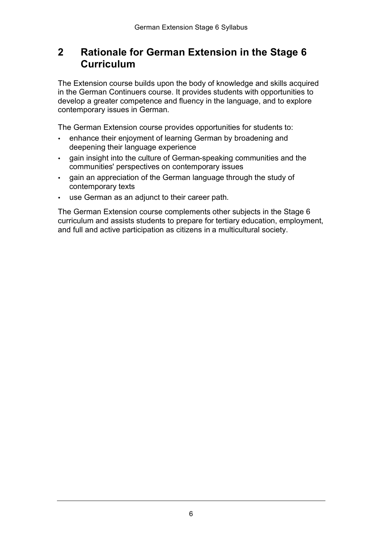#### <span id="page-5-0"></span> **Rationale for German Extension in the Stage 6 2 Curriculum**

 The Extension course builds upon the body of knowledge and skills acquired in the German Continuers course. It provides students with opportunities to develop a greater competence and fluency in the language, and to explore contemporary issues in German.

The German Extension course provides opportunities for students to:

- • enhance their enjoyment of learning German by broadening and deepening their language experience
- • gain insight into the culture of German-speaking communities and the communities' perspectives on contemporary issues
- • gain an appreciation of the German language through the study of contemporary texts
- • use German as an adjunct to their career path.

 The German Extension course complements other subjects in the Stage 6 curriculum and assists students to prepare for tertiary education, employment, and full and active participation as citizens in a multicultural society.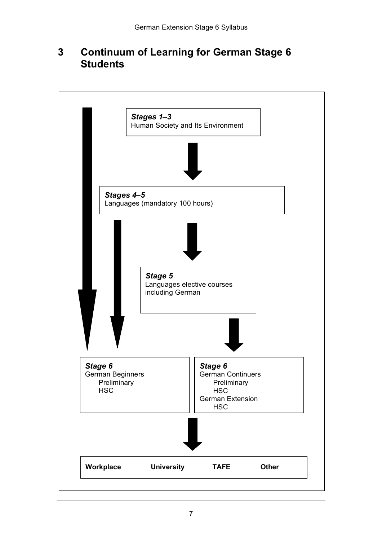#### **Continuum of Learning for German Stage 6 3 Students**

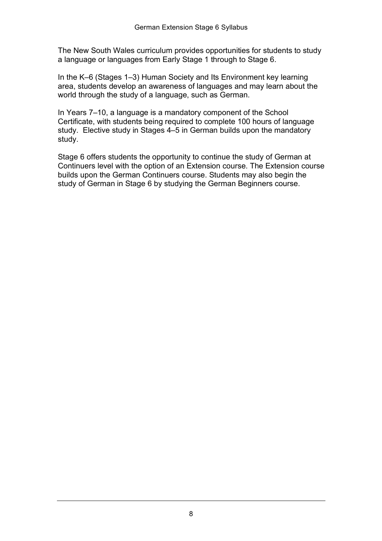The New South Wales curriculum provides opportunities for students to study a language or languages from Early Stage 1 through to Stage 6.

 In the K–6 (Stages 1–3) Human Society and Its Environment key learning area, students develop an awareness of languages and may learn about the world through the study of a language, such as German.

 In Years 7–10, a language is a mandatory component of the School Certificate, with students being required to complete 100 hours of language study. Elective study in Stages 4–5 in German builds upon the mandatory study.

 Stage 6 offers students the opportunity to continue the study of German at Continuers level with the option of an Extension course. The Extension course builds upon the German Continuers course. Students may also begin the study of German in Stage 6 by studying the German Beginners course.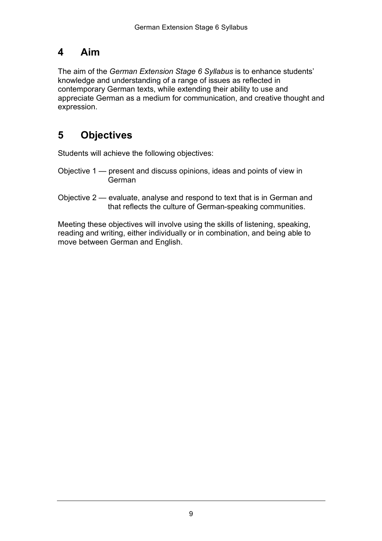## <span id="page-8-0"></span>**4 Aim**

 The aim of the *German Extension Stage 6 Syllabus* is to enhance students' knowledge and understanding of a range of issues as reflected in contemporary German texts, while extending their ability to use and appreciate German as a medium for communication, and creative thought and expression.

# **5 Objectives**

Students will achieve the following objectives:

- Objective 1 present and discuss opinions, ideas and points of view in German
- Objective 2 evaluate, analyse and respond to text that is in German and that reflects the culture of German-speaking communities.

 Meeting these objectives will involve using the skills of listening, speaking, reading and writing, either individually or in combination, and being able to move between German and English.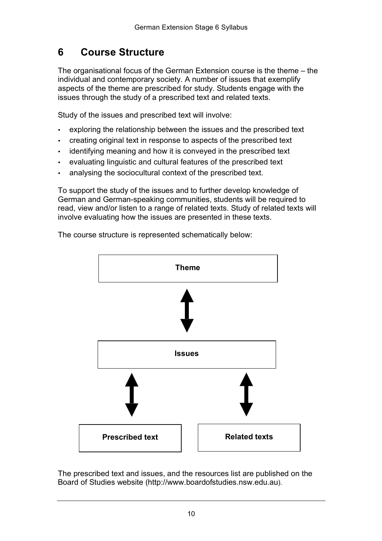#### <span id="page-9-0"></span>**6 Course Structure**

 The organisational focus of the German Extension course is the theme – the individual and contemporary society. A number of issues that exemplify aspects of the theme are prescribed for study. Students engage with the issues through the study of a prescribed text and related texts.

Study of the issues and prescribed text will involve:

- exploring the relationship between the issues and the prescribed text
- creating original text in response to aspects of the prescribed text
- identifying meaning and how it is conveyed in the prescribed text
- evaluating linguistic and cultural features of the prescribed text
- analysing the sociocultural context of the prescribed text.

 To support the study of the issues and to further develop knowledge of German and German-speaking communities, students will be required to read, view and/or listen to a range of related texts. Study of related texts will involve evaluating how the issues are presented in these texts.

The course structure is represented schematically below:



 The prescribed text and issues, and the resources list are published on the Board of Studies website (http://www.boardofstudies.nsw.edu.au).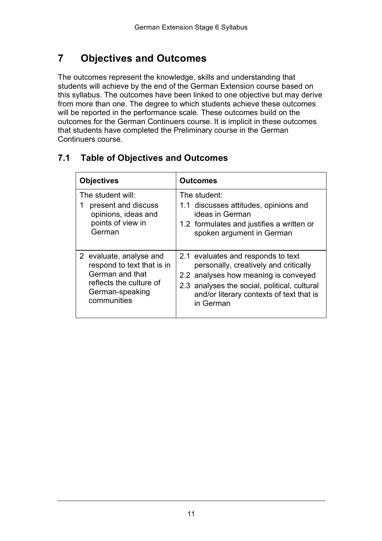# **7 Objectives and Outcomes**

 The outcomes represent the knowledge, skills and understanding that students will achieve by the end of the German Extension course based on this syllabus. The outcomes have been linked to one objective but may derive from more than one. The degree to which students achieve these outcomes will be reported in the performance scale. These outcomes build on the outcomes for the German Continuers course. It is implicit in these outcomes that students have completed the Preliminary course in the German Continuers course.

| <b>Objectives</b>                                                                                                                     | <b>Outcomes</b>                                                                                                                                                                                                              |  |
|---------------------------------------------------------------------------------------------------------------------------------------|------------------------------------------------------------------------------------------------------------------------------------------------------------------------------------------------------------------------------|--|
| The student will:<br>present and discuss<br>1<br>opinions, ideas and<br>points of view in<br>German                                   | The student:<br>1.1 discusses attitudes, opinions and<br>ideas in German<br>1.2 formulates and justifies a written or<br>spoken argument in German                                                                           |  |
| 2 evaluate, analyse and<br>respond to text that is in<br>German and that<br>reflects the culture of<br>German-speaking<br>communities | 2.1 evaluates and responds to text<br>personally, creatively and critically<br>2.2 analyses how meaning is conveyed<br>2.3 analyses the social, political, cultural<br>and/or literary contexts of text that is<br>in German |  |

### **7.1 Table of Objectives and Outcomes**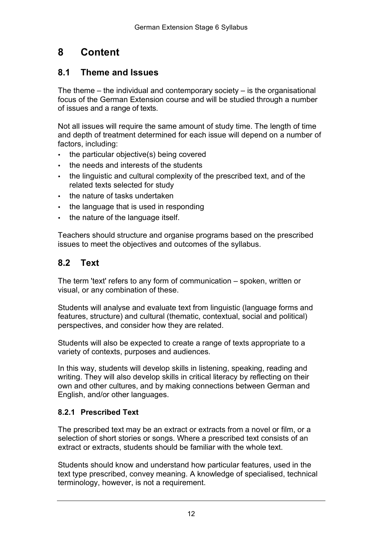# <span id="page-11-0"></span>**8 Content**

### **8.1 Theme and Issues**

 The theme – the individual and contemporary society – is the organisational focus of the German Extension course and will be studied through a number of issues and a range of texts.

 Not all issues will require the same amount of study time. The length of time and depth of treatment determined for each issue will depend on a number of factors, including:

- • the particular objective(s) being covered
- • the needs and interests of the students
- • the linguistic and cultural complexity of the prescribed text, and of the related texts selected for study
- • the nature of tasks undertaken
- the language that is used in responding
- • the nature of the language itself.

 Teachers should structure and organise programs based on the prescribed issues to meet the objectives and outcomes of the syllabus.

### **8.2 Text**

 The term 'text' refers to any form of communication – spoken, written or visual, or any combination of these.

 Students will analyse and evaluate text from linguistic (language forms and features, structure) and cultural (thematic, contextual, social and political) perspectives, and consider how they are related.

 Students will also be expected to create a range of texts appropriate to a variety of contexts, purposes and audiences.

 In this way, students will develop skills in listening, speaking, reading and writing. They will also develop skills in critical literacy by reflecting on their own and other cultures, and by making connections between German and English, and/or other languages.

#### **8.2.1 Prescribed Text**

 The prescribed text may be an extract or extracts from a novel or film, or a selection of short stories or songs. Where a prescribed text consists of an extract or extracts, students should be familiar with the whole text.

 Students should know and understand how particular features, used in the text type prescribed, convey meaning. A knowledge of specialised, technical terminology, however, is not a requirement.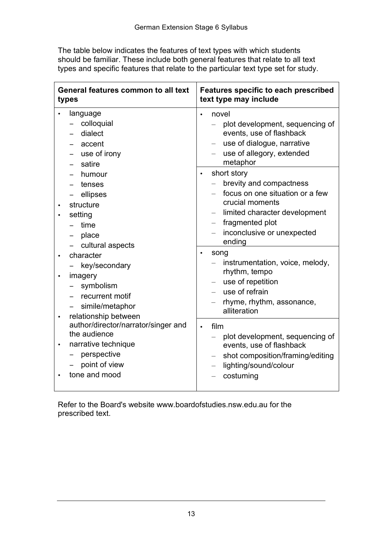The table below indicates the features of text types with which students should be familiar. These include both general features that relate to all text types and specific features that relate to the particular text type set for study.

| General features common to all text<br>types                                                                                                            | <b>Features specific to each prescribed</b><br>text type may include                                                                                                                                  |  |
|---------------------------------------------------------------------------------------------------------------------------------------------------------|-------------------------------------------------------------------------------------------------------------------------------------------------------------------------------------------------------|--|
| language<br>colloquial<br>dialect<br>accent<br>use of irony<br>satire                                                                                   | novel<br>plot development, sequencing of<br>events, use of flashback<br>use of dialogue, narrative<br>use of allegory, extended<br>metaphor                                                           |  |
| humour<br>tenses<br>ellipses<br>structure<br>setting<br>time<br>place<br>cultural aspects                                                               | short story<br>$\bullet$<br>brevity and compactness<br>focus on one situation or a few<br>crucial moments<br>limited character development<br>fragmented plot<br>inconclusive or unexpected<br>ending |  |
| character<br>$\bullet$<br>key/secondary<br>imagery<br>$\bullet$<br>symbolism<br>recurrent motif<br>simile/metaphor<br>relationship between<br>$\bullet$ | song<br>$\bullet$<br>instrumentation, voice, melody,<br>rhythm, tempo<br>use of repetition<br>use of refrain<br>rhyme, rhythm, assonance,<br>alliteration                                             |  |
| author/director/narrator/singer and<br>the audience<br>narrative technique<br>perspective<br>point of view<br>tone and mood                             | film<br>$\bullet$<br>plot development, sequencing of<br>events, use of flashback<br>shot composition/framing/editing<br>lighting/sound/colour<br>costuming                                            |  |

 Refer to the Board's website www.boardofstudies.nsw.edu.au for the prescribed text.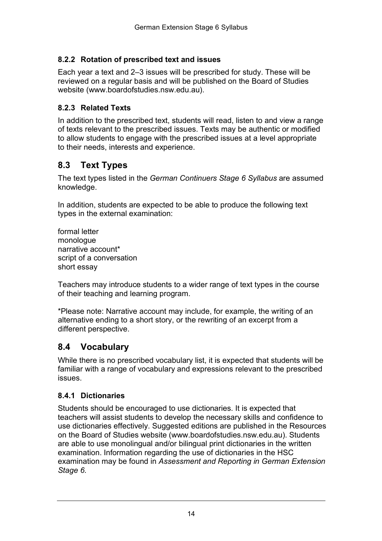#### <span id="page-13-0"></span> **8.2.2 Rotation of prescribed text and issues**

 Each year a text and 2–3 issues will be prescribed for study. These will be reviewed on a regular basis and will be published on the Board of Studies website (www.boardofstudies.nsw.edu.au).

#### **8.2.3 Related Texts**

 In addition to the prescribed text, students will read, listen to and view a range of texts relevant to the prescribed issues. Texts may be authentic or modified to allow students to engage with the prescribed issues at a level appropriate to their needs, interests and experience.

### **8.3 Text Types**

 The text types listed in the *German Continuers Stage 6 Syllabus* are assumed knowledge.

 In addition, students are expected to be able to produce the following text types in the external examination:

 script of a conversation formal letter monologue narrative account\* short essay

 Teachers may introduce students to a wider range of text types in the course of their teaching and learning program.

 \*Please note: Narrative account may include, for example, the writing of an alternative ending to a short story, or the rewriting of an excerpt from a different perspective.

### **8.4 Vocabulary**

 While there is no prescribed vocabulary list, it is expected that students will be familiar with a range of vocabulary and expressions relevant to the prescribed issues.

#### **8.4.1 Dictionaries**

 Students should be encouraged to use dictionaries. It is expected that teachers will assist students to develop the necessary skills and confidence to use dictionaries effectively. Suggested editions are published in the Resources on the Board of Studies website (www.boardofstudies.nsw.edu.au). Students are able to use monolingual and/or bilingual print dictionaries in the written examination. Information regarding the use of dictionaries in the HSC examination may be found in *Assessment and Reporting in German Extension Stage 6.*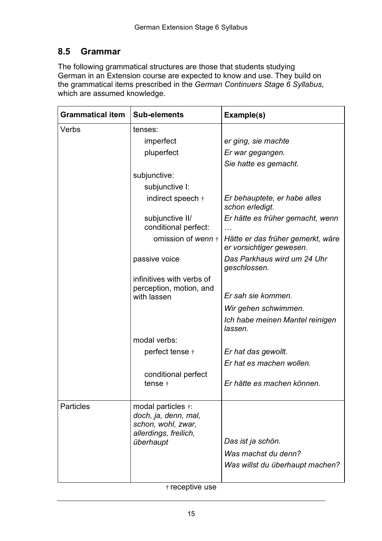### **8.5 Grammar**

 The following grammatical structures are those that students studying the grammatical items prescribed in the *German Continuers Stage 6 Syllabus*, which are assumed knowledge. German in an Extension course are expected to know and use. They build on

| <b>Grammatical item</b> | <b>Sub-elements</b>                                                                                | Example(s)                                                    |
|-------------------------|----------------------------------------------------------------------------------------------------|---------------------------------------------------------------|
| Verbs                   | tenses:                                                                                            |                                                               |
|                         | imperfect                                                                                          | er ging, sie machte                                           |
|                         | pluperfect                                                                                         | Er war gegangen.                                              |
|                         |                                                                                                    | Sie hatte es gemacht.                                         |
|                         | subjunctive:                                                                                       |                                                               |
|                         | subjunctive I:                                                                                     |                                                               |
|                         | indirect speech $\dagger$                                                                          | Er behauptete, er habe alles<br>schon erledigt.               |
|                         | subjunctive II/<br>conditional perfect:                                                            | Er hätte es früher gemacht, wenn                              |
|                         | omission of wenn +                                                                                 | Hätte er das früher gemerkt, wäre<br>er vorsichtiger gewesen. |
|                         | passive voice                                                                                      | Das Parkhaus wird um 24 Uhr<br>geschlossen.                   |
|                         | infinitives with verbs of<br>perception, motion, and<br>with lassen                                | Er sah sie kommen.                                            |
|                         |                                                                                                    | Wir gehen schwimmen.                                          |
|                         |                                                                                                    | Ich habe meinen Mantel reinigen<br>lassen.                    |
|                         | modal verbs:                                                                                       |                                                               |
|                         | perfect tense †                                                                                    | Er hat das gewollt.                                           |
|                         |                                                                                                    | Er hat es machen wollen.                                      |
|                         | conditional perfect<br>tense $\dagger$                                                             | Er hätte es machen können.                                    |
|                         |                                                                                                    |                                                               |
| <b>Particles</b>        | modal particles $\dagger$ :<br>doch, ja, denn, mal,<br>schon, wohl, zwar,<br>allerdings, freilich, |                                                               |
|                         | überhaupt                                                                                          | Das ist ja schön.                                             |
|                         |                                                                                                    | Was machst du denn?                                           |
|                         |                                                                                                    | Was willst du überhaupt machen?                               |

† receptive use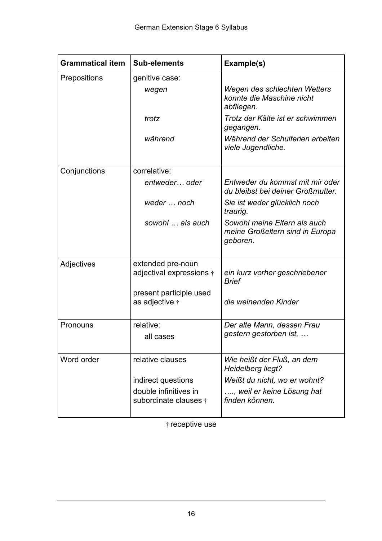| <b>Grammatical item</b> | <b>Sub-elements</b>                            | Example(s)                                                                  |
|-------------------------|------------------------------------------------|-----------------------------------------------------------------------------|
| Prepositions            | genitive case:<br>wegen                        | Wegen des schlechten Wetters                                                |
|                         |                                                | konnte die Maschine nicht<br>abfliegen.                                     |
|                         | trotz                                          | Trotz der Kälte ist er schwimmen<br>gegangen.                               |
|                         | während                                        | Während der Schulferien arbeiten<br>viele Jugendliche.                      |
| Conjunctions            | correlative:                                   |                                                                             |
|                         | entweder oder                                  | Entweder du kommst mit mir oder<br>du bleibst bei deiner Großmutter.        |
|                         | weder  noch                                    | Sie ist weder glücklich noch<br>traurig.                                    |
|                         | sowohl  als auch                               | Sowohl meine Eltern als auch<br>meine Großeltern sind in Europa<br>geboren. |
| Adjectives              | extended pre-noun                              |                                                                             |
|                         | adjectival expressions $\dagger$               | ein kurz vorher geschriebener<br><b>Brief</b>                               |
|                         | present participle used<br>as adjective †      | die weinenden Kinder                                                        |
|                         |                                                |                                                                             |
| Pronouns                | relative:                                      | Der alte Mann, dessen Frau                                                  |
|                         | all cases                                      | gestern gestorben ist,                                                      |
| Word order              | relative clauses                               | Wie heißt der Fluß, an dem<br>Heidelberg liegt?                             |
|                         | indirect questions                             | Weißt du nicht, wo er wohnt?                                                |
|                         | double infinitives in<br>subordinate clauses + | , weil er keine Lösung hat<br>finden können.                                |
|                         |                                                |                                                                             |

† receptive use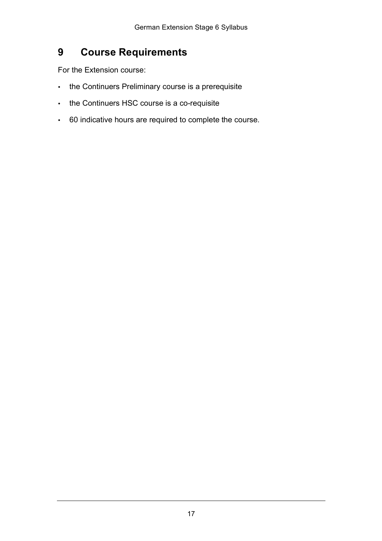#### <span id="page-16-0"></span>**9 Course Requirements**

For the Extension course:

- the Continuers Preliminary course is a prerequisite
- the Continuers HSC course is a co-requisite
- 60 indicative hours are required to complete the course.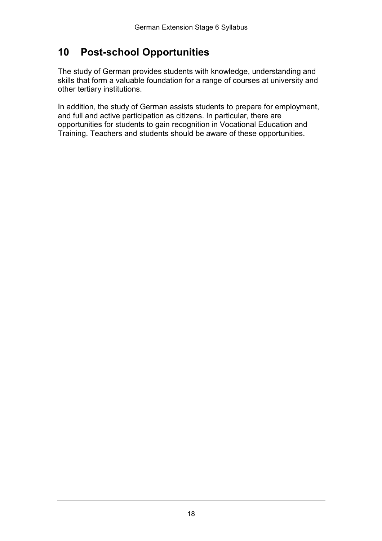# <span id="page-17-0"></span>**10 Post-school Opportunities**

 The study of German provides students with knowledge, understanding and skills that form a valuable foundation for a range of courses at university and other tertiary institutions.

 In addition, the study of German assists students to prepare for employment, and full and active participation as citizens. In particular, there are opportunities for students to gain recognition in Vocational Education and Training. Teachers and students should be aware of these opportunities.